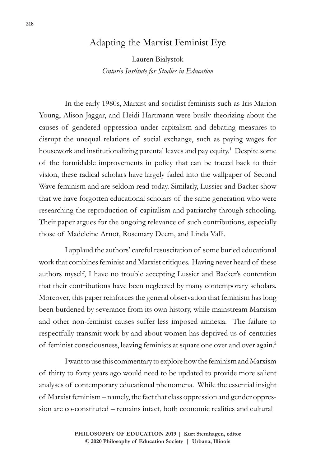## Adapting the Marxist Feminist Eye

Lauren Bialystok *Ontario Institute for Studies in Education*

In the early 1980s, Marxist and socialist feminists such as Iris Marion Young, Alison Jaggar, and Heidi Hartmann were busily theorizing about the causes of gendered oppression under capitalism and debating measures to disrupt the unequal relations of social exchange, such as paying wages for housework and institutionalizing parental leaves and pay equity.<sup>1</sup> Despite some of the formidable improvements in policy that can be traced back to their vision, these radical scholars have largely faded into the wallpaper of Second Wave feminism and are seldom read today. Similarly, Lussier and Backer show that we have forgotten educational scholars of the same generation who were researching the reproduction of capitalism and patriarchy through schooling. Their paper argues for the ongoing relevance of such contributions, especially those of Madeleine Arnot, Rosemary Deem, and Linda Valli.

I applaud the authors' careful resuscitation of some buried educational work that combines feminist and Marxist critiques. Having never heard of these authors myself, I have no trouble accepting Lussier and Backer's contention that their contributions have been neglected by many contemporary scholars. Moreover, this paper reinforces the general observation that feminism has long been burdened by severance from its own history, while mainstream Marxism and other non-feminist causes suffer less imposed amnesia. The failure to respectfully transmit work by and about women has deprived us of centuries of feminist consciousness, leaving feminists at square one over and over again.2

I want to use this commentary to explore how the feminism and Marxism of thirty to forty years ago would need to be updated to provide more salient analyses of contemporary educational phenomena. While the essential insight of Marxist feminism – namely, the fact that class oppression and gender oppression are co-constituted – remains intact, both economic realities and cultural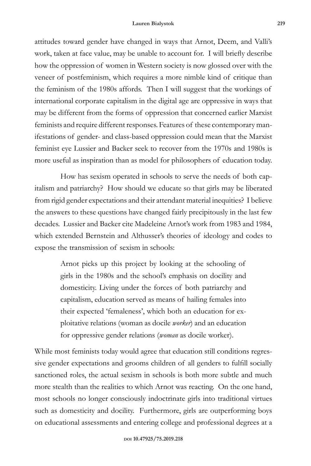attitudes toward gender have changed in ways that Arnot, Deem, and Valli's work, taken at face value, may be unable to account for. I will briefly describe how the oppression of women in Western society is now glossed over with the veneer of postfeminism, which requires a more nimble kind of critique than the feminism of the 1980s affords. Then I will suggest that the workings of international corporate capitalism in the digital age are oppressive in ways that may be different from the forms of oppression that concerned earlier Marxist feminists and require different responses. Features of these contemporary manifestations of gender- and class-based oppression could mean that the Marxist feminist eye Lussier and Backer seek to recover from the 1970s and 1980s is more useful as inspiration than as model for philosophers of education today.

How has sexism operated in schools to serve the needs of both capitalism and patriarchy? How should we educate so that girls may be liberated from rigid gender expectations and their attendant material inequities? I believe the answers to these questions have changed fairly precipitously in the last few decades. Lussier and Backer cite Madeleine Arnot's work from 1983 and 1984, which extended Bernstein and Althusser's theories of ideology and codes to expose the transmission of sexism in schools:

> Arnot picks up this project by looking at the schooling of girls in the 1980s and the school's emphasis on docility and domesticity. Living under the forces of both patriarchy and capitalism, education served as means of hailing females into their expected 'femaleness', which both an education for exploitative relations (woman as docile *worker*) and an education for oppressive gender relations (*woman* as docile worker).

While most feminists today would agree that education still conditions regressive gender expectations and grooms children of all genders to fulfill socially sanctioned roles, the actual sexism in schools is both more subtle and much more stealth than the realities to which Arnot was reacting. On the one hand, most schools no longer consciously indoctrinate girls into traditional virtues such as domesticity and docility. Furthermore, girls are outperforming boys on educational assessments and entering college and professional degrees at a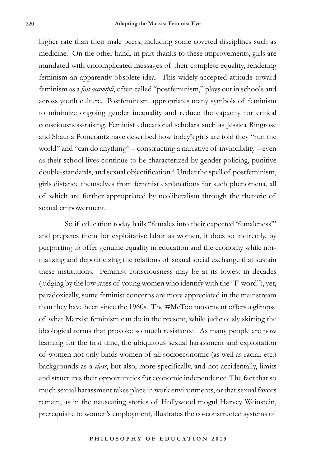higher rate than their male peers, including some coveted disciplines such as medicine. On the other hand, in part thanks to these improvements, girls are inundated with uncomplicated messages of their complete equality, rendering feminism an apparently obsolete idea. This widely accepted attitude toward feminism as a *fait accompli*, often called "postfeminism," plays out in schools and across youth culture. Postfeminism appropriates many symbols of feminism to minimize ongoing gender inequality and reduce the capacity for critical consciousness-raising. Feminist educational scholars such as Jessica Ringrose and Shauna Pomerantz have described how today's girls are told they "run the world" and "can do anything" – constructing a narrative of invincibility – even as their school lives continue to be characterized by gender policing, punitive double-standards, and sexual objectification.<sup>3</sup> Under the spell of postfeminism, girls distance themselves from feminist explanations for such phenomena, all of which are further appropriated by neoliberalism through the rhetoric of sexual empowerment.

So if education today hails "females into their expected 'femaleness'" and prepares them for exploitative labor as women, it does so indirectly, by purporting to offer genuine equality in education and the economy while normalizing and depoliticizing the relations of sexual social exchange that sustain these institutions. Feminist consciousness may be at its lowest in decades (judging by the low rates of young women who identify with the "F-word"), yet, paradoxically, some feminist concerns are more appreciated in the mainstream than they have been since the 1960s. The #MeToo movement offers a glimpse of what Marxist feminism can do in the present, while judiciously skirting the ideological terms that provoke so much resistance. As many people are now learning for the first time, the ubiquitous sexual harassment and exploitation of women not only binds women of all socioeconomic (as well as racial, etc.) backgrounds as a *class*, but also, more specifically, and not accidentally, limits and structures their opportunities for economic independence. The fact that so much sexual harassment takes place in work environments, or that sexual favors remain, as in the nauseating stories of Hollywood mogul Harvey Weinstein, prerequisite to women's employment, illustrates the co-constructed systems of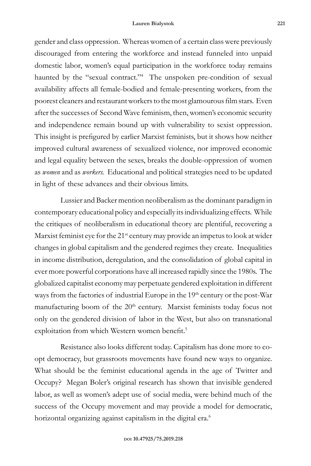gender and class oppression. Whereas women of a certain class were previously discouraged from entering the workforce and instead funneled into unpaid domestic labor, women's equal participation in the workforce today remains haunted by the "sexual contract."4 The unspoken pre-condition of sexual availability affects all female-bodied and female-presenting workers, from the poorest cleaners and restaurant workers to the most glamourous film stars. Even after the successes of Second Wave feminism, then, women's economic security and independence remain bound up with vulnerability to sexist oppression. This insight is prefigured by earlier Marxist feminists, but it shows how neither improved cultural awareness of sexualized violence, nor improved economic and legal equality between the sexes, breaks the double-oppression of women as *women* and as *workers.* Educational and political strategies need to be updated in light of these advances and their obvious limits.

Lussier and Backer mention neoliberalism as the dominant paradigm in contemporary educational policy and especially its individualizing effects. While the critiques of neoliberalism in educational theory are plentiful, recovering a Marxist feminist eye for the  $21^{st}$  century may provide an impetus to look at wider changes in global capitalism and the gendered regimes they create. Inequalities in income distribution, deregulation, and the consolidation of global capital in ever more powerful corporations have all increased rapidly since the 1980s. The globalized capitalist economy may perpetuate gendered exploitation in different ways from the factories of industrial Europe in the 19<sup>th</sup> century or the post-War manufacturing boom of the 20<sup>th</sup> century. Marxist feminists today focus not only on the gendered division of labor in the West, but also on transnational exploitation from which Western women benefit.<sup>5</sup>

Resistance also looks different today. Capitalism has done more to coopt democracy, but grassroots movements have found new ways to organize. What should be the feminist educational agenda in the age of Twitter and Occupy? Megan Boler's original research has shown that invisible gendered labor, as well as women's adept use of social media, were behind much of the success of the Occupy movement and may provide a model for democratic, horizontal organizing against capitalism in the digital era.<sup>6</sup>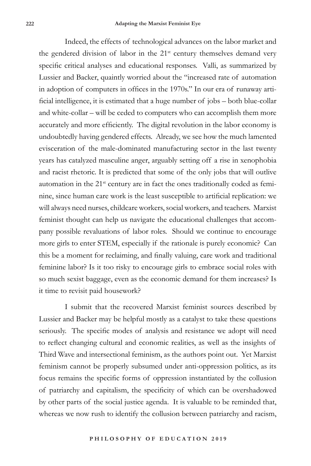Indeed, the effects of technological advances on the labor market and the gendered division of labor in the 21<sup>st</sup> century themselves demand very specific critical analyses and educational responses. Valli, as summarized by Lussier and Backer, quaintly worried about the "increased rate of automation in adoption of computers in offices in the 1970s." In our era of runaway artificial intelligence, it is estimated that a huge number of jobs – both blue-collar and white-collar – will be ceded to computers who can accomplish them more accurately and more efficiently. The digital revolution in the labor economy is undoubtedly having gendered effects. Already, we see how the much lamented evisceration of the male-dominated manufacturing sector in the last twenty years has catalyzed masculine anger, arguably setting off a rise in xenophobia and racist rhetoric. It is predicted that some of the only jobs that will outlive automation in the  $21<sup>st</sup>$  century are in fact the ones traditionally coded as feminine, since human care work is the least susceptible to artificial replication: we will always need nurses, childcare workers, social workers, and teachers. Marxist feminist thought can help us navigate the educational challenges that accompany possible revaluations of labor roles. Should we continue to encourage more girls to enter STEM, especially if the rationale is purely economic? Can this be a moment for reclaiming, and finally valuing, care work and traditional feminine labor? Is it too risky to encourage girls to embrace social roles with so much sexist baggage, even as the economic demand for them increases? Is it time to revisit paid housework?

I submit that the recovered Marxist feminist sources described by Lussier and Backer may be helpful mostly as a catalyst to take these questions seriously. The specific modes of analysis and resistance we adopt will need to reflect changing cultural and economic realities, as well as the insights of Third Wave and intersectional feminism, as the authors point out. Yet Marxist feminism cannot be properly subsumed under anti-oppression politics, as its focus remains the specific forms of oppression instantiated by the collusion of patriarchy and capitalism, the specificity of which can be overshadowed by other parts of the social justice agenda. It is valuable to be reminded that, whereas we now rush to identify the collusion between patriarchy and racism,